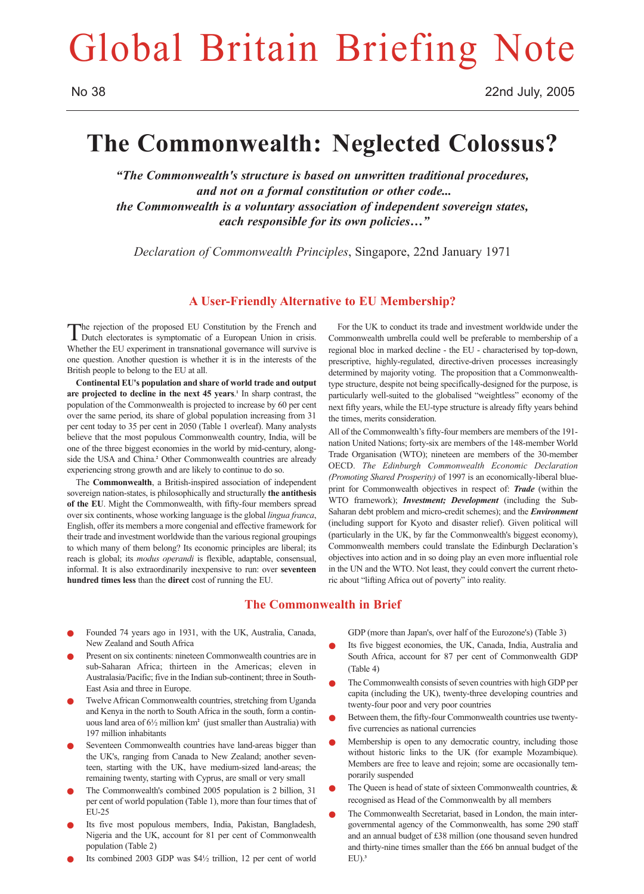# Global Britain Briefing Note

# **The Commonwealth: Neglected Colossus?**

*"The Commonwealth's structure is based on unwritten traditional procedures, and not on a formal constitution or other code... the Commonwealth is a voluntary association of independent sovereign states, each responsible for its own policies…"*

*Declaration of Commonwealth Principles*, Singapore, 22nd January 1971

## **A User-Friendly Alternative to EU Membership?**

The rejection of the proposed EU Constitution by the French and Dutch electorates is symptomatic of a European Union in crisis. Whether the EU experiment in transnational governance will survive is one question. Another question is whether it is in the interests of the British people to belong to the EU at all.

**Continental EU's population and share of world trade and output are projected to decline in the next 45 years**. **<sup>1</sup>** In sharp contrast, the population of the Commonwealth is projected to increase by 60 per cent over the same period, its share of global population increasing from 31 per cent today to 35 per cent in 2050 (Table 1 overleaf). Many analysts believe that the most populous Commonwealth country, India, will be one of the three biggest economies in the world by mid-century, alongside the USA and China.**<sup>2</sup>** Other Commonwealth countries are already experiencing strong growth and are likely to continue to do so.

The **Commonwealth**, a British-inspired association of independent sovereign nation-states, is philosophically and structurally **the antithesis of the EU**. Might the Commonwealth, with fifty-four members spread over six continents, whose working language is the global *lingua franca*, English, offer its members a more congenial and effective framework for their trade and investment worldwide than the various regional groupings to which many of them belong? Its economic principles are liberal; its reach is global; its *modus operandi* is flexible, adaptable, consensual, informal. It is also extraordinarily inexpensive to run: over **seventeen hundred times less** than the **direct** cost of running the EU.

For the UK to conduct its trade and investment worldwide under the Commonwealth umbrella could well be preferable to membership of a regional bloc in marked decline - the EU - characterised by top-down, prescriptive, highly-regulated, directive-driven processes increasingly determined by majority voting. The proposition that a Commonwealthtype structure, despite not being specifically-designed for the purpose, is particularly well-suited to the globalised "weightless" economy of the next fifty years, while the EU-type structure is already fifty years behind the times, merits consideration.

All of the Commonwealth's fifty-four members are members of the 191 nation United Nations; forty-six are members of the 148-member World Trade Organisation (WTO); nineteen are members of the 30-member OECD. *The Edinburgh Commonwealth Economic Declaration (Promoting Shared Prosperity)* of 1997 is an economically-liberal blueprint for Commonwealth objectives in respect of: *Trade* (within the WTO framework); *Investment; Development* (including the Sub-Saharan debt problem and micro-credit schemes); and the *Environment* (including support for Kyoto and disaster relief). Given political will (particularly in the UK, by far the Commonwealth's biggest economy), Commonwealth members could translate the Edinburgh Declaration's objectives into action and in so doing play an even more influential role in the UN and the WTO. Not least, they could convert the current rhetoric about "lifting Africa out of poverty" into reality.

# **The Commonwealth in Brief**

- Founded 74 years ago in 1931, with the UK, Australia, Canada, New Zealand and South Africa
- Present on six continents: nineteen Commonwealth countries are in sub-Saharan Africa; thirteen in the Americas; eleven in Australasia/Pacific; five in the Indian sub-continent; three in South-East Asia and three in Europe.
- Twelve African Commonwealth countries, stretching from Uganda and Kenya in the north to South Africa in the south, form a continuous land area of 6½ million km**<sup>2</sup>** (just smaller than Australia) with 197 million inhabitants
- Seventeen Commonwealth countries have land-areas bigger than the UK's, ranging from Canada to New Zealand; another seventeen, starting with the UK, have medium-sized land-areas; the remaining twenty, starting with Cyprus, are small or very small
- The Commonwealth's combined 2005 population is 2 billion, 31 per cent of world population (Table 1), more than four times that of EU-25
- Its five most populous members, India, Pakistan, Bangladesh, Nigeria and the UK, account for 81 per cent of Commonwealth population (Table 2)
- Its combined 2003 GDP was  $$4\frac{1}{2}$  trillion, 12 per cent of world

GDP (more than Japan's, over half of the Eurozone's) (Table 3)

- Its five biggest economies, the UK, Canada, India, Australia and South Africa, account for 87 per cent of Commonwealth GDP (Table 4)
- The Commonwealth consists of seven countries with high GDP per capita (including the UK), twenty-three developing countries and twenty-four poor and very poor countries
- Between them, the fifty-four Commonwealth countries use twentyfive currencies as national currencies
- Membership is open to any democratic country, including those without historic links to the UK (for example Mozambique). Members are free to leave and rejoin; some are occasionally temporarily suspended
- The Queen is head of state of sixteen Commonwealth countries,  $\&$ recognised as Head of the Commonwealth by all members
- The Commonwealth Secretariat, based in London, the main intergovernmental agency of the Commonwealth, has some 290 staff and an annual budget of £38 million (one thousand seven hundred and thirty-nine times smaller than the £66 bn annual budget of the EU).**3**